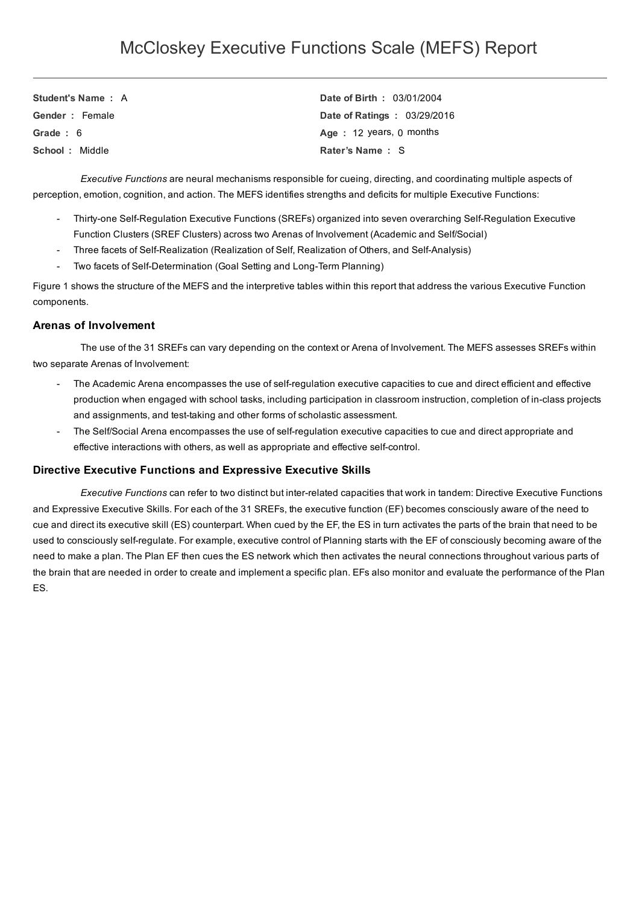| Student's Name: A | Date of Birth: 03/01/2004   |
|-------------------|-----------------------------|
| Gender: Female    | Date of Ratings: 03/29/2016 |
| Grade $: 6$       | Age: 12 years, $0$ months   |
| School: Middle    | Rater's Name: S             |

*Executive Functions* are neural mechanisms responsible for cueing, directing, and coordinating multiple aspects of perception, emotion, cognition, and action. The MEFS identifies strengths and deficits for multiple Executive Functions:

- Thirty-one Self-Regulation Executive Functions (SREFs) organized into seven overarching Self-Regulation Executive Function Clusters (SREF Clusters) across two Arenas of Involvement (Academic and Self/Social)
- Three facets of Self-Realization (Realization of Self, Realization of Others, and Self-Analysis)
- Two facets of Self-Determination (Goal Setting and Long-Term Planning)

Figure 1 shows the structure of the MEFS and the interpretive tables within this report that address the various Executive Function components.

#### Arenas of Involvement

The use of the 31 SREFs can vary depending on the context or Arena of Involvement. The MEFS assesses SREFs within two separate Arenas of Involvement:

- The Academic Arena encompasses the use of self-regulation executive capacities to cue and direct efficient and effective production when engaged with school tasks, including participation in classroom instruction, completion of in-class projects and assignments, and test-taking and other forms of scholastic assessment.
- The Self/Social Arena encompasses the use of selfregulation executive capacities to cue and direct appropriate and effective interactions with others, as well as appropriate and effective self-control.

#### Directive Executive Functions and Expressive Executive Skills

*Executive Functions* can refer to two distinct but interrelated capacities that work in tandem: Directive Executive Functions and Expressive Executive Skills. For each of the 31 SREFs, the executive function (EF) becomes consciously aware of the need to cue and direct its executive skill (ES) counterpart. When cued by the EF, the ES in turn activates the parts of the brain that need to be used to consciously self-regulate. For example, executive control of Planning starts with the EF of consciously becoming aware of the need to make a plan. The Plan EF then cues the ES network which then activates the neural connections throughout various parts of the brain that are needed in order to create and implement a specific plan. EFs also monitor and evaluate the performance of the Plan ES.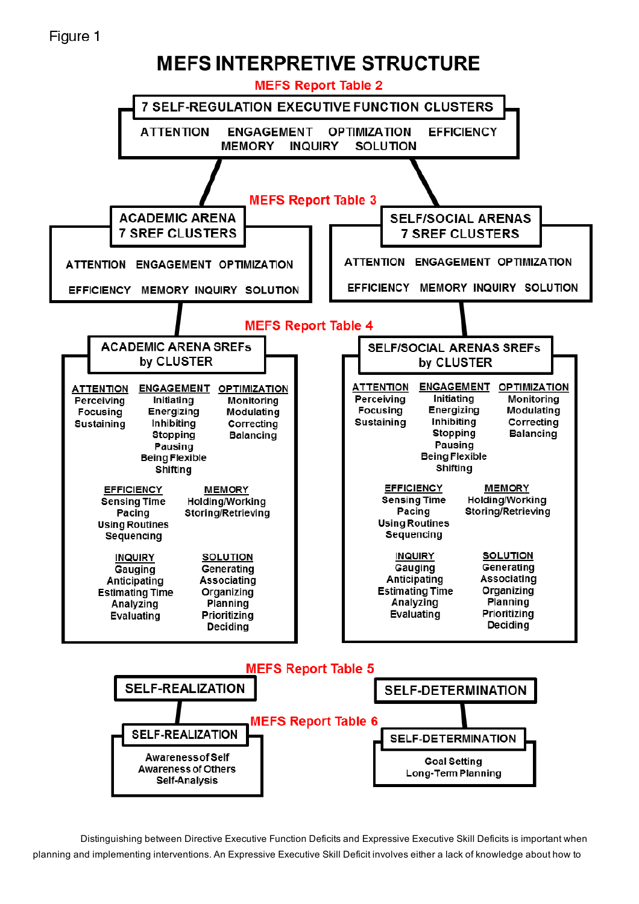# Figure 1



Distinguishing between Directive Executive Function Deficits and Expressive Executive Skill Deficits is important when planning and implementing interventions. An Expressive Executive Skill Deficit involves either a lack of knowledge about how to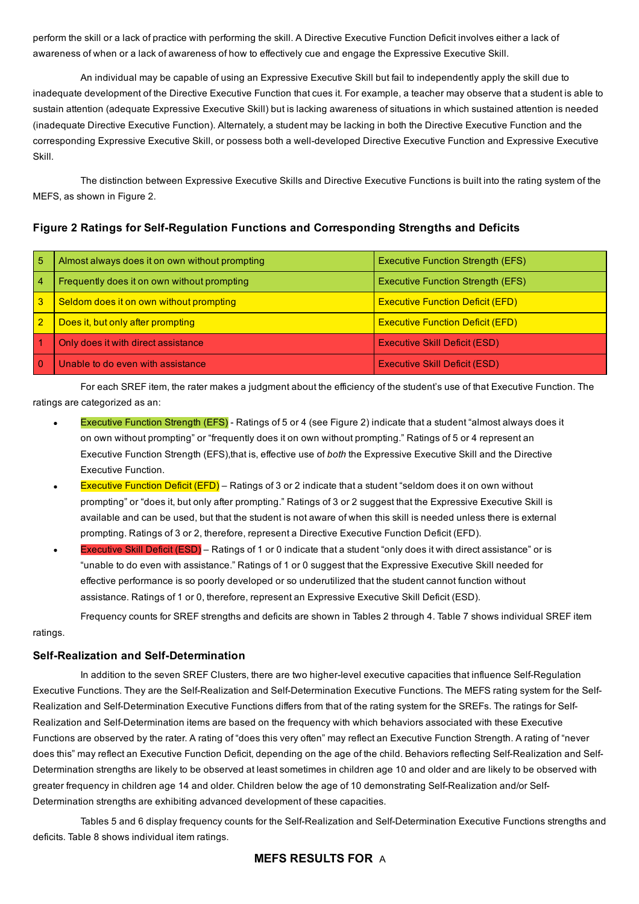perform the skill or a lack of practice with performing the skill. A Directive Executive Function Deficit involves either a lack of awareness of when or a lack of awareness of how to effectively cue and engage the Expressive Executive Skill.

An individual may be capable of using an Expressive Executive Skill but fail to independently apply the skill due to inadequate development of the Directive Executive Function that cues it. For example, a teacher may observe that a student is able to sustain attention (adequate Expressive Executive Skill) but is lacking awareness of situations in which sustained attention is needed (inadequate Directive Executive Function). Alternately, a student may be lacking in both the Directive Executive Function and the corresponding Expressive Executive Skill, or possess both a well-developed Directive Executive Function and Expressive Executive Skill.

The distinction between Expressive Executive Skills and Directive Executive Functions is built into the rating system of the MEFS, as shown in Figure 2.

Figure 2 Ratings for Self-Regulation Functions and Corresponding Strengths and Deficits

| 5              | Almost always does it on own without prompting | <b>Executive Function Strength (EFS)</b> |
|----------------|------------------------------------------------|------------------------------------------|
| 4              | Frequently does it on own without prompting    | <b>Executive Function Strength (EFS)</b> |
| 3              | Seldom does it on own without prompting        | <b>Executive Function Deficit (EFD)</b>  |
| $\overline{2}$ | Does it, but only after prompting              | <b>Executive Function Deficit (EFD)</b>  |
|                | Only does it with direct assistance            | <b>Executive Skill Deficit (ESD)</b>     |
|                | Unable to do even with assistance              | <b>Executive Skill Deficit (ESD)</b>     |

For each SREF item, the rater makes a judgment about the efficiency of the student's use of that Executive Function. The ratings are categorized as an:

- Executive Function Strength (EFS) Ratings of 5 or 4 (see Figure 2) indicate that a student "almost always does it on own without prompting" or "frequently does it on own without prompting." Ratings of 5 or 4 represent an Executive Function Strength (EFS),that is, effective use of *both* the Expressive Executive Skill and the Directive Executive Function.
- Executive Function Deficit (EFD) Ratings of 3 or 2 indicate that a student "seldom does it on own without prompting" or "does it, but only after prompting." Ratings of 3 or 2 suggest that the Expressive Executive Skill is available and can be used, but that the student is not aware of when this skill is needed unless there is external prompting. Ratings of 3 or 2, therefore, represent a Directive Executive Function Deficit (EFD).
- Executive Skill Deficit (ESD) Ratings of 1 or 0 indicate that a student "only does it with direct assistance" or is "unable to do even with assistance." Ratings of 1 or 0 suggest that the Expressive Executive Skill needed for effective performance is so poorly developed or so underutilized that the student cannot function without assistance. Ratings of 1 or 0, therefore, represent an Expressive Executive Skill Deficit (ESD).

Frequency counts for SREF strengths and deficits are shown in Tables 2 through 4. Table 7 shows individual SREF item ratings.

#### Self-Realization and Self-Determination

In addition to the seven SREF Clusters, there are two higher-level executive capacities that influence Self-Regulation Executive Functions. They are the Self-Realization and Self-Determination Executive Functions. The MEFS rating system for the Self-Realization and Self-Determination Executive Functions differs from that of the rating system for the SREFs. The ratings for Self-Realization and Self-Determination items are based on the frequency with which behaviors associated with these Executive Functions are observed by the rater. A rating of "does this very often" may reflect an Executive Function Strength. A rating of "never does this" may reflect an Executive Function Deficit, depending on the age of the child. Behaviors reflecting Self-Realization and Self-Determination strengths are likely to be observed at least sometimes in children age 10 and older and are likely to be observed with greater frequency in children age 14 and older. Children below the age of 10 demonstrating Self-Realization and/or Self-Determination strengths are exhibiting advanced development of these capacities.

Tables 5 and 6 display frequency counts for the Self-Realization and Self-Determination Executive Functions strengths and deficits. Table 8 shows individual item ratings.

#### MEFS RESULTS FOR A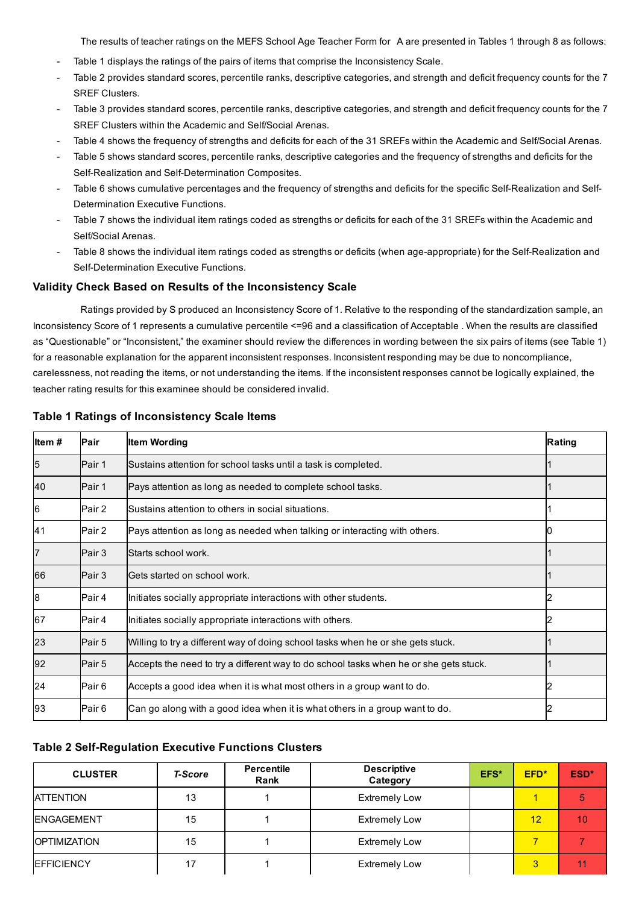The results of teacher ratings on the MEFS School Age Teacher Form for A are presented in Tables 1 through 8 as follows:

- Table 1 displays the ratings of the pairs of items that comprise the Inconsistency Scale.
- Table 2 provides standard scores, percentile ranks, descriptive categories, and strength and deficit frequency counts for the 7 SREF Clusters.
- Table 3 provides standard scores, percentile ranks, descriptive categories, and strength and deficit frequency counts for the 7 SREF Clusters within the Academic and Self/Social Arenas.
- Table 4 shows the frequency of strengths and deficits for each of the 31 SREFs within the Academic and Self/Social Arenas.
- Table 5 shows standard scores, percentile ranks, descriptive categories and the frequency of strengths and deficits for the Self-Realization and Self-Determination Composites.
- Table 6 shows cumulative percentages and the frequency of strengths and deficits for the specific Self-Realization and Self-Determination Executive Functions.
- Table 7 shows the individual item ratings coded as strengths or deficits for each of the 31 SREFs within the Academic and Self/Social Arenas.
- Table 8 shows the individual item ratings coded as strengths or deficits (when age-appropriate) for the Self-Realization and Self-Determination Executive Functions.

#### Validity Check Based on Results of the Inconsistency Scale

Ratings provided by S produced an Inconsistency Score of 1. Relative to the responding of the standardization sample, an Inconsistency Score of 1 represents a cumulative percentile <=96 and a classification of Acceptable . When the results are classified as "Questionable" or "Inconsistent," the examiner should review the differences in wording between the six pairs of items (see Table 1) for a reasonable explanation for the apparent inconsistent responses. Inconsistent responding may be due to noncompliance, carelessness, not reading the items, or not understanding the items. If the inconsistent responses cannot be logically explained, the teacher rating results for this examinee should be considered invalid.

| Item# | Pair   | <b>Item Wording</b>                                                                   | Rating |
|-------|--------|---------------------------------------------------------------------------------------|--------|
| 5     | Pair 1 | Sustains attention for school tasks until a task is completed.                        |        |
| 40    | Pair 1 | Pays attention as long as needed to complete school tasks.                            |        |
| 6     | Pair 2 | Sustains attention to others in social situations.                                    |        |
| 41    | Pair 2 | Pays attention as long as needed when talking or interacting with others.             |        |
|       | Pair 3 | Starts school work.                                                                   |        |
| 66    | Pair 3 | Gets started on school work.                                                          |        |
| 8     | Pair 4 | Initiates socially appropriate interactions with other students.                      |        |
| 67    | Pair 4 | Initiates socially appropriate interactions with others.                              |        |
| 23    | Pair 5 | Willing to try a different way of doing school tasks when he or she gets stuck.       |        |
| 92    | Pair 5 | Accepts the need to try a different way to do school tasks when he or she gets stuck. |        |
| 24    | Pair 6 | Accepts a good idea when it is what most others in a group want to do.                |        |
| 93    | Pair 6 | Can go along with a good idea when it is what others in a group want to do.           |        |

#### Table 1 Ratings of Inconsistency Scale Items

#### Table 2 Self-Regulation Executive Functions Clusters

| <b>CLUSTER</b>       | <b>T-Score</b> | <b>Percentile</b><br>Rank | <b>Descriptive</b><br>Category | EFS* | EFD* | ESD* |
|----------------------|----------------|---------------------------|--------------------------------|------|------|------|
| <b>ATTENTION</b>     | 13             |                           | <b>Extremely Low</b>           |      | 1    |      |
| <b>ENGAGEMENT</b>    | 15             |                           | <b>Extremely Low</b>           |      | 12   | 10   |
| <b>IOPTIMIZATION</b> | 15             |                           | <b>Extremely Low</b>           |      |      |      |
| <b>IEFFICIENCY</b>   | 17             |                           | <b>Extremely Low</b>           |      | 3    |      |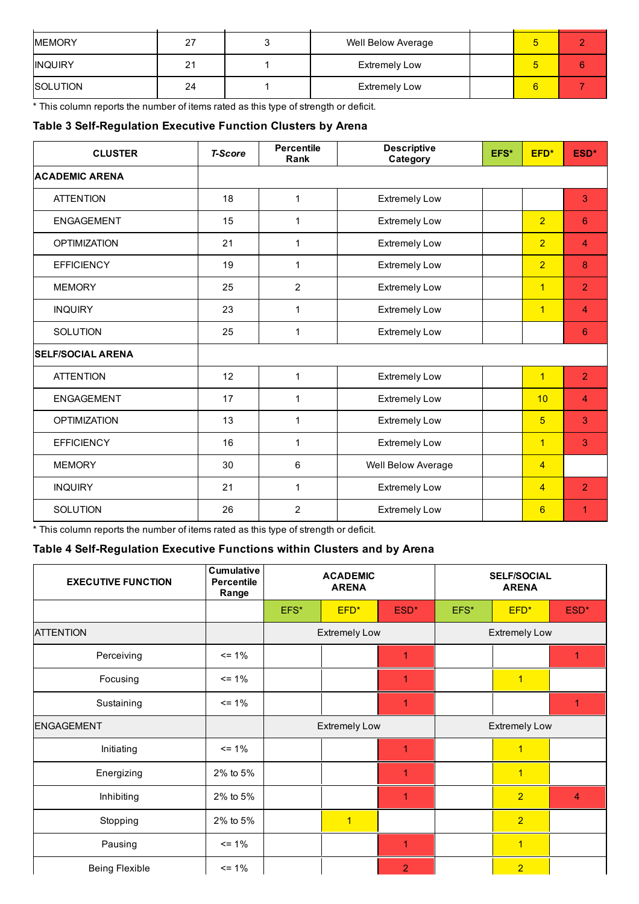| <b>MEMORY</b>  | -27 | Well Below Average   | о  |  |
|----------------|-----|----------------------|----|--|
| <b>INQUIRY</b> | 21  | <b>Extremely Low</b> | O. |  |
| SOLUTION       | 24  | <b>Extremely Low</b> | 6  |  |

\* This column reports the number of items rated as this type of strength or deficit.

## Table 3 Self-Regulation Executive Function Clusters by Arena

| <b>CLUSTER</b>           | <b>T-Score</b> | <b>Percentile</b><br>Rank | <b>Descriptive</b><br>Category | EFS* | EFD*           | ESD*                    |
|--------------------------|----------------|---------------------------|--------------------------------|------|----------------|-------------------------|
| <b>ACADEMIC ARENA</b>    |                |                           |                                |      |                |                         |
| <b>ATTENTION</b>         | 18             | $\mathbf{1}$              | <b>Extremely Low</b>           |      |                | 3                       |
| <b>ENGAGEMENT</b>        | 15             | $\mathbf{1}$              | <b>Extremely Low</b>           |      | $\overline{2}$ | 6                       |
| <b>OPTIMIZATION</b>      | 21             | 1                         | <b>Extremely Low</b>           |      | $\overline{2}$ | $\overline{\mathbf{4}}$ |
| <b>EFFICIENCY</b>        | 19             | 1                         | <b>Extremely Low</b>           |      | $\overline{2}$ | 8                       |
| <b>MEMORY</b>            | 25             | $\overline{2}$            | <b>Extremely Low</b>           |      | $\mathbf{1}$   | $\overline{2}$          |
| <b>INQUIRY</b>           | 23             | 1                         | <b>Extremely Low</b>           |      | $\overline{1}$ | $\overline{4}$          |
| SOLUTION                 | 25             | 1                         | <b>Extremely Low</b>           |      |                | 6                       |
| <b>SELF/SOCIAL ARENA</b> |                |                           |                                |      |                |                         |
| <b>ATTENTION</b>         | 12             | 1                         | <b>Extremely Low</b>           |      | $\overline{1}$ | $\overline{2}$          |
| <b>ENGAGEMENT</b>        | 17             | 1                         | <b>Extremely Low</b>           |      | 10             | $\overline{4}$          |
| <b>OPTIMIZATION</b>      | 13             | 1                         | <b>Extremely Low</b>           |      | 5              | 3                       |
| <b>EFFICIENCY</b>        | 16             | 1                         | <b>Extremely Low</b>           |      | $\mathbf{1}$   | 3                       |
| <b>MEMORY</b>            | 30             | 6                         | Well Below Average             |      | $\overline{4}$ |                         |
| <b>INQUIRY</b>           | 21             | $\mathbf{1}$              | <b>Extremely Low</b>           |      | $\overline{4}$ | $\overline{2}$          |
| SOLUTION                 | 26             | $\overline{2}$            | <b>Extremely Low</b>           |      | 6              | 1                       |

\* This column reports the number of items rated as this type of strength or deficit.

## Table 4 Self-Regulation Executive Functions within Clusters and by Arena

| <b>EXECUTIVE FUNCTION</b> | <b>Cumulative</b><br><b>Percentile</b><br>Range | <b>ACADEMIC</b><br><b>ARENA</b> |                      |                |      | <b>SELF/SOCIAL</b><br><b>ARENA</b> |                |
|---------------------------|-------------------------------------------------|---------------------------------|----------------------|----------------|------|------------------------------------|----------------|
|                           |                                                 | EFS*                            | EFD*                 | ESD*           | EFS* | EFD*                               | ESD*           |
| <b>ATTENTION</b>          |                                                 |                                 | <b>Extremely Low</b> |                |      | <b>Extremely Low</b>               |                |
| Perceiving                | $= 1\%$                                         |                                 |                      | 1              |      |                                    |                |
| Focusing                  | $= 1\%$                                         |                                 |                      | 1              |      | $\blacktriangleleft$               |                |
| Sustaining                | $= 1\%$                                         |                                 |                      | 1              |      |                                    |                |
| <b>ENGAGEMENT</b>         |                                                 |                                 | <b>Extremely Low</b> |                |      | <b>Extremely Low</b>               |                |
| Initiating                | $= 1\%$                                         |                                 |                      | 1              |      | $\overline{1}$                     |                |
| Energizing                | 2% to 5%                                        |                                 |                      | $\overline{1}$ |      | $\overline{1}$                     |                |
| Inhibiting                | 2% to 5%                                        |                                 |                      | 1              |      | $\overline{2}$                     | $\overline{4}$ |
| Stopping                  | 2% to 5%                                        |                                 | $\overline{1}$       |                |      | $\overline{2}$                     |                |
| Pausing                   | $= 1\%$                                         |                                 |                      | $\overline{1}$ |      | $\overline{1}$                     |                |
| Being Flexible            | $= 1\%$                                         |                                 |                      | $\overline{2}$ |      | $\overline{2}$                     |                |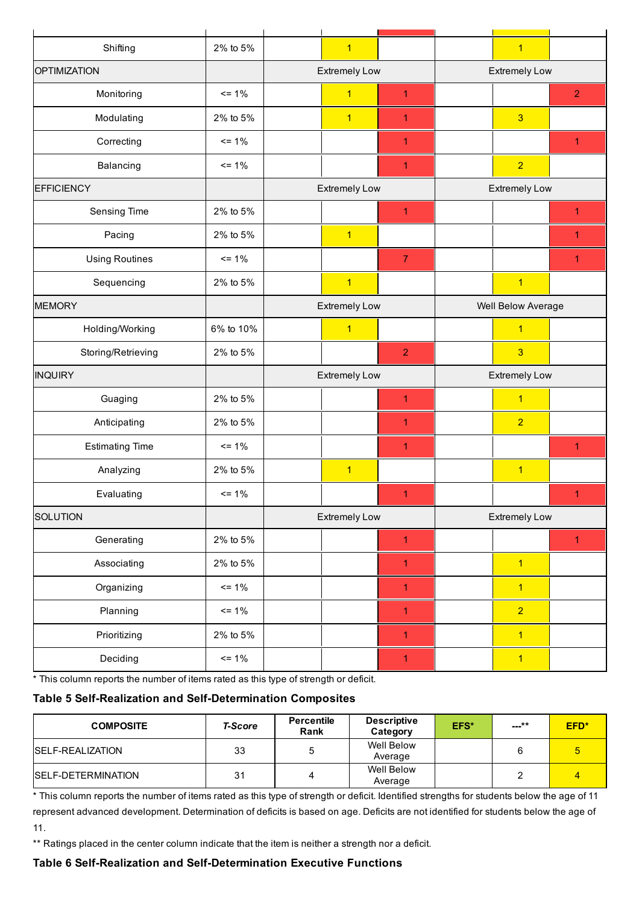| Shifting               | 2% to 5%  | $\overline{1}$       |                |                      | $\overline{1}$       |                |
|------------------------|-----------|----------------------|----------------|----------------------|----------------------|----------------|
| OPTIMIZATION           |           | <b>Extremely Low</b> |                |                      | <b>Extremely Low</b> |                |
| Monitoring             | $= 1\%$   | $\overline{1}$       | $\overline{1}$ |                      |                      | $\overline{2}$ |
| Modulating             | 2% to 5%  | $\overline{1}$       | $\mathbf{1}$   |                      | $\overline{3}$       |                |
| Correcting             | $= 1\%$   |                      | $\overline{1}$ |                      |                      | $\mathbf{1}$   |
| Balancing              | $= 1\%$   |                      | $\overline{1}$ |                      | $\overline{2}$       |                |
| <b>EFFICIENCY</b>      |           | <b>Extremely Low</b> |                |                      | <b>Extremely Low</b> |                |
| Sensing Time           | 2% to 5%  |                      | $\mathbf{1}$   |                      |                      | $\mathbf{1}$   |
| Pacing                 | 2% to 5%  | $\overline{1}$       |                |                      |                      | 1              |
| <b>Using Routines</b>  | $= 1\%$   |                      | $\overline{7}$ |                      |                      | $\mathbf{1}$   |
| Sequencing             | 2% to 5%  | $\overline{1}$       |                |                      | $\mathbf{1}$         |                |
| <b>MEMORY</b>          |           | <b>Extremely Low</b> |                | Well Below Average   |                      |                |
| Holding/Working        | 6% to 10% | $\overline{1}$       |                |                      | $\overline{1}$       |                |
| Storing/Retrieving     | 2% to 5%  |                      | $\overline{2}$ |                      | $\overline{3}$       |                |
| <b>INQUIRY</b>         |           | <b>Extremely Low</b> |                | <b>Extremely Low</b> |                      |                |
| Guaging                | 2% to 5%  |                      | $\overline{1}$ | $\overline{1}$       |                      |                |
| Anticipating           | 2% to 5%  |                      | $\overline{1}$ |                      | $\overline{2}$       |                |
| <b>Estimating Time</b> | $= 1\%$   |                      | $\overline{1}$ |                      |                      | $\overline{1}$ |
| Analyzing              | 2% to 5%  | $\overline{1}$       |                |                      | $\overline{1}$       |                |
| Evaluating             | $= 1\%$   |                      | $\mathbf{1}$   |                      |                      | 1              |
| <b>SOLUTION</b>        |           | <b>Extremely Low</b> |                |                      | <b>Extremely Low</b> |                |
| Generating             | 2% to 5%  |                      | $\mathbf{1}$   |                      |                      | $\mathbf{1}$   |
| Associating            | 2% to 5%  |                      | $\overline{1}$ |                      | $\overline{1}$       |                |
| Organizing             | $= 1\%$   |                      | $\overline{1}$ |                      | $\overline{1}$       |                |
| Planning               | $= 1\%$   |                      | $\mathbf{1}$   |                      | $\overline{2}$       |                |
| Prioritizing           | 2% to 5%  |                      | $\overline{1}$ |                      | $\overline{1}$       |                |
| Deciding               | $= 1\%$   |                      | $\mathbf{1}$   |                      | $\vert$              |                |
|                        |           |                      |                |                      |                      |                |

\* This column reports the number of items rated as this type of strength or deficit.

## Table 5 Self-Realization and Self-Determination Composites

| <b>COMPOSITE</b>         | <b>T-Score</b> | <b>Percentile</b><br>Rank | <b>Descriptive</b><br>Category | EFS* | ___** | EFD* |
|--------------------------|----------------|---------------------------|--------------------------------|------|-------|------|
| <b>ISELF-REALIZATION</b> | 33             | 5                         | Well Below<br>Average          |      |       | 5    |
| SELF-DETERMINATION       | 31             | 4                         | Well Below<br>Average          |      |       | 4    |

\* This column reports the number of items rated as this type of strength or deficit. Identified strengths for students below the age of 11 represent advanced development. Determination of deficits is based on age. Deficits are not identified for students below the age of 11.

\*\* Ratings placed in the center column indicate that the item is neither a strength nor a deficit.

### Table 6 Self-Realization and Self-Determination Executive Functions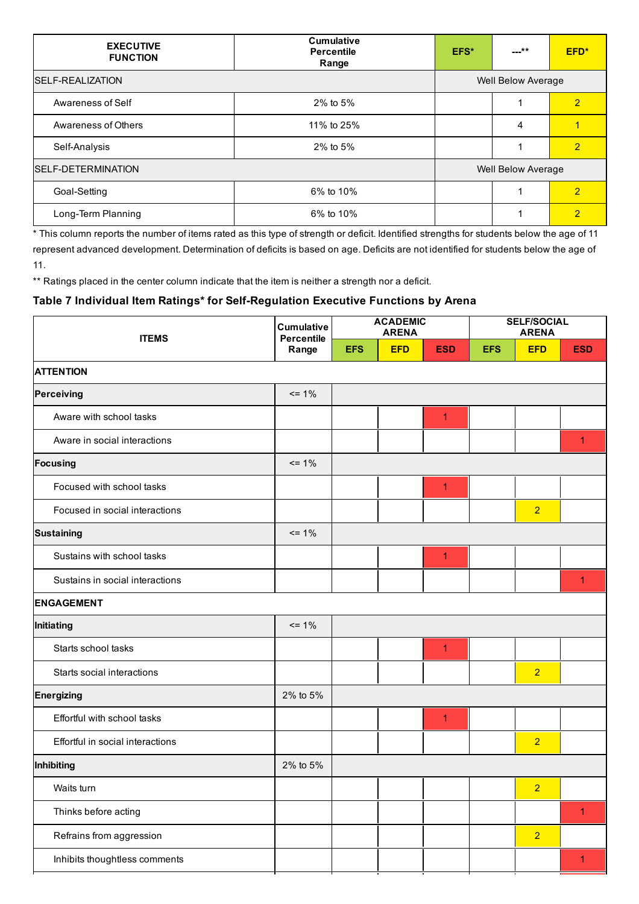| <b>EXECUTIVE</b><br><b>FUNCTION</b> | <b>Cumulative</b><br><b>Percentile</b><br>Range | EFS* | ---**                     | EFD*           |
|-------------------------------------|-------------------------------------------------|------|---------------------------|----------------|
| <b>ISELF-REALIZATION</b>            |                                                 |      | Well Below Average        |                |
| Awareness of Self                   | 2% to 5%                                        |      |                           | $\overline{2}$ |
| Awareness of Others                 | 11% to 25%                                      |      | 4                         |                |
| Self-Analysis                       | 2% to 5%                                        |      |                           | $\overline{2}$ |
| SELF-DETERMINATION                  |                                                 |      | <b>Well Below Average</b> |                |
| Goal-Setting                        | 6% to 10%                                       |      |                           | $\overline{2}$ |
| Long-Term Planning                  | 6% to 10%                                       |      |                           | $\overline{2}$ |

\* This column reports the number of items rated as this type of strength or deficit. Identified strengths for students below the age of 11 represent advanced development. Determination of deficits is based on age. Deficits are not identified for students below the age of 11.

\*\* Ratings placed in the center column indicate that the item is neither a strength nor a deficit.

## Table 7 Individual Item Ratings\* for Self-Regulation Executive Functions by Arena

| <b>ITEMS</b>                     | <b>Cumulative</b><br><b>Percentile</b> |            | <b>ACADEMIC</b><br><b>ARENA</b> |                | <b>SELF/SOCIAL</b><br><b>ARENA</b> |                |                      |
|----------------------------------|----------------------------------------|------------|---------------------------------|----------------|------------------------------------|----------------|----------------------|
|                                  | Range                                  | <b>EFS</b> | <b>EFD</b>                      | <b>ESD</b>     | <b>EFS</b>                         | <b>EFD</b>     | <b>ESD</b>           |
| <b>ATTENTION</b>                 |                                        |            |                                 |                |                                    |                |                      |
| Perceiving                       | $= 1\%$                                |            |                                 |                |                                    |                |                      |
| Aware with school tasks          |                                        |            |                                 | $\overline{1}$ |                                    |                |                      |
| Aware in social interactions     |                                        |            |                                 |                |                                    |                | 1                    |
| <b>Focusing</b>                  | $= 1\%$                                |            |                                 |                |                                    |                |                      |
| Focused with school tasks        |                                        |            |                                 | $\overline{1}$ |                                    |                |                      |
| Focused in social interactions   |                                        |            |                                 |                |                                    | $\overline{2}$ |                      |
| <b>Sustaining</b>                | $= 1\%$                                |            |                                 |                |                                    |                |                      |
| Sustains with school tasks       |                                        |            |                                 | $\overline{1}$ |                                    |                |                      |
| Sustains in social interactions  |                                        |            |                                 |                |                                    |                | $\overline{1}$       |
| <b>ENGAGEMENT</b>                |                                        |            |                                 |                |                                    |                |                      |
| Initiating                       | $= 1\%$                                |            |                                 |                |                                    |                |                      |
| Starts school tasks              |                                        |            |                                 | $\overline{1}$ |                                    |                |                      |
| Starts social interactions       |                                        |            |                                 |                |                                    | $\overline{2}$ |                      |
| <b>Energizing</b>                | 2% to 5%                               |            |                                 |                |                                    |                |                      |
| Effortful with school tasks      |                                        |            |                                 | $\overline{1}$ |                                    |                |                      |
| Effortful in social interactions |                                        |            |                                 |                |                                    | $\overline{2}$ |                      |
| Inhibiting                       | 2% to 5%                               |            |                                 |                |                                    |                |                      |
| Waits turn                       |                                        |            |                                 |                |                                    | $\overline{2}$ |                      |
| Thinks before acting             |                                        |            |                                 |                |                                    |                | $\blacktriangleleft$ |
| Refrains from aggression         |                                        |            |                                 |                |                                    | $\overline{2}$ |                      |
| Inhibits thoughtless comments    |                                        |            |                                 |                |                                    |                | 1                    |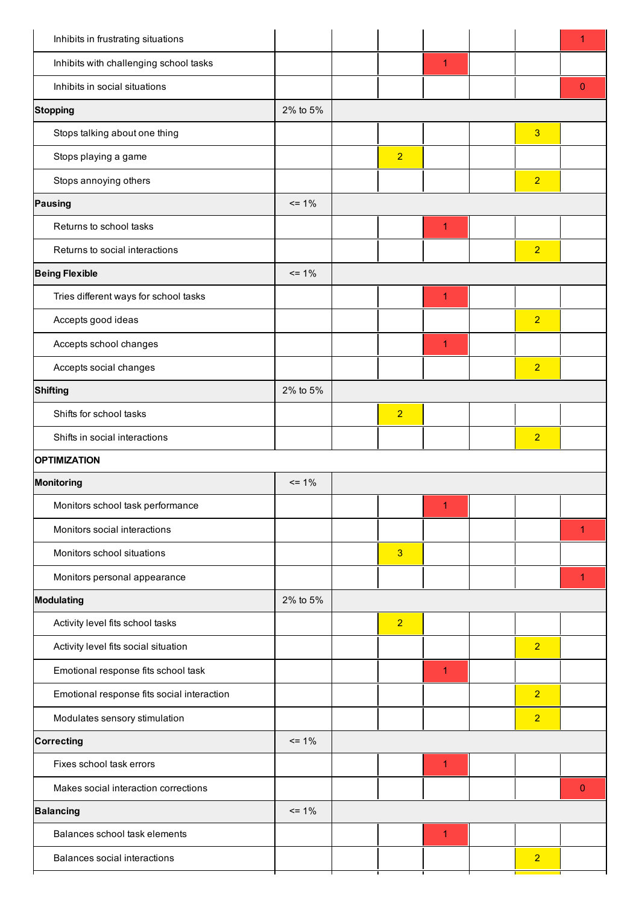| Inhibits in frustrating situations         |          |                |                |                | 1            |
|--------------------------------------------|----------|----------------|----------------|----------------|--------------|
| Inhibits with challenging school tasks     |          |                | 1              |                |              |
| Inhibits in social situations              |          |                |                |                | $\mathbf{0}$ |
| <b>Stopping</b>                            | 2% to 5% |                |                |                |              |
| Stops talking about one thing              |          |                |                | 3              |              |
| Stops playing a game                       |          | $\overline{2}$ |                |                |              |
| Stops annoying others                      |          |                |                | $\overline{2}$ |              |
| <b>Pausing</b>                             | $= 1\%$  |                |                |                |              |
| Returns to school tasks                    |          |                | $\overline{1}$ |                |              |
| Returns to social interactions             |          |                |                | $\overline{2}$ |              |
| <b>Being Flexible</b>                      | $= 1\%$  |                |                |                |              |
| Tries different ways for school tasks      |          |                | 1              |                |              |
| Accepts good ideas                         |          |                |                | $\overline{2}$ |              |
| Accepts school changes                     |          |                | $\overline{1}$ |                |              |
| Accepts social changes                     |          |                |                | $\overline{2}$ |              |
| <b>Shifting</b>                            | 2% to 5% |                |                |                |              |
| Shifts for school tasks                    |          | $\overline{2}$ |                |                |              |
| Shifts in social interactions              |          |                |                | $\overline{2}$ |              |
| <b>OPTIMIZATION</b>                        |          |                |                |                |              |
| <b>Monitoring</b>                          | $= 1\%$  |                |                |                |              |
| Monitors school task performance           |          |                | 1              |                |              |
| Monitors social interactions               |          |                |                |                | 1            |
| Monitors school situations                 |          | 3              |                |                |              |
| Monitors personal appearance               |          |                |                |                | 1            |
| <b>Modulating</b>                          | 2% to 5% |                |                |                |              |
| Activity level fits school tasks           |          | $\overline{2}$ |                |                |              |
| Activity level fits social situation       |          |                |                | $\overline{2}$ |              |
| Emotional response fits school task        |          |                | $\overline{1}$ |                |              |
| Emotional response fits social interaction |          |                |                | $\overline{2}$ |              |
| Modulates sensory stimulation              |          |                |                | $\overline{2}$ |              |
| <b>Correcting</b>                          |          |                |                |                |              |
|                                            | $= 1\%$  |                |                |                |              |
| Fixes school task errors                   |          |                | $\overline{1}$ |                |              |
| Makes social interaction corrections       |          |                |                |                | $\mathbf{0}$ |
| <b>Balancing</b>                           | $= 1\%$  |                |                |                |              |
| Balances school task elements              |          |                | $\overline{1}$ |                |              |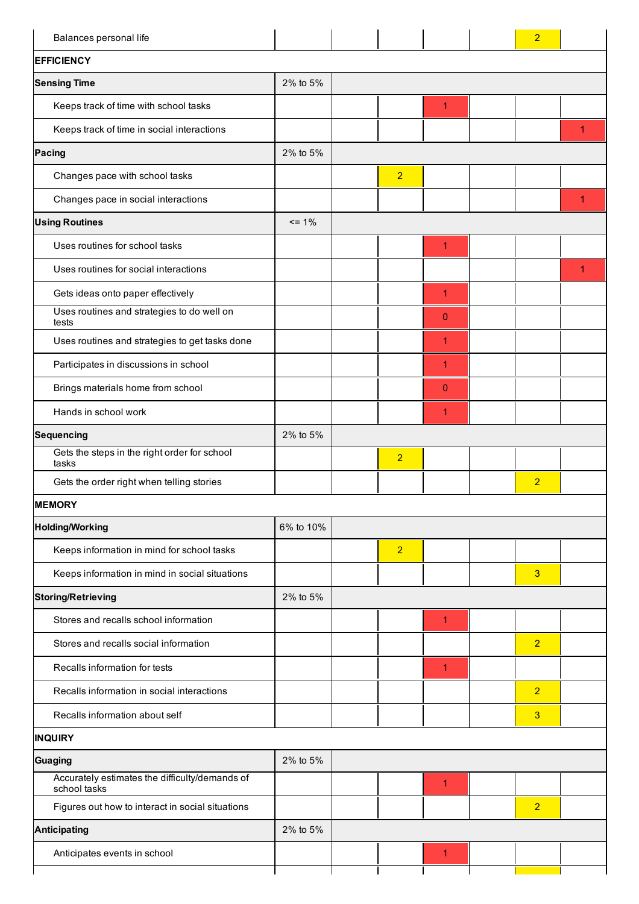| Balances personal life                                         |           |                |                | $\overline{2}$ |   |
|----------------------------------------------------------------|-----------|----------------|----------------|----------------|---|
| <b>EFFICIENCY</b>                                              |           |                |                |                |   |
| <b>Sensing Time</b>                                            | 2% to 5%  |                |                |                |   |
| Keeps track of time with school tasks                          |           |                | $\mathbf{1}$   |                |   |
| Keeps track of time in social interactions                     |           |                |                |                | 1 |
| Pacing                                                         | 2% to 5%  |                |                |                |   |
| Changes pace with school tasks                                 |           | $\overline{2}$ |                |                |   |
| Changes pace in social interactions                            |           |                |                |                | 1 |
| <b>Using Routines</b>                                          | $= 1\%$   |                |                |                |   |
| Uses routines for school tasks                                 |           |                | 1              |                |   |
| Uses routines for social interactions                          |           |                |                |                | 1 |
| Gets ideas onto paper effectively                              |           |                | $\overline{1}$ |                |   |
| Uses routines and strategies to do well on<br>tests            |           |                | $\mathbf 0$    |                |   |
| Uses routines and strategies to get tasks done                 |           |                | $\overline{1}$ |                |   |
| Participates in discussions in school                          |           |                | 1              |                |   |
| Brings materials home from school                              |           |                | $\overline{0}$ |                |   |
| Hands in school work                                           |           |                | 1              |                |   |
| <b>Sequencing</b>                                              | 2% to 5%  |                |                |                |   |
| Gets the steps in the right order for school<br>tasks          |           | $\overline{2}$ |                |                |   |
| Gets the order right when telling stories                      |           |                |                | $\overline{2}$ |   |
| <b>MEMORY</b>                                                  |           |                |                |                |   |
| <b>Holding/Working</b>                                         | 6% to 10% |                |                |                |   |
| Keeps information in mind for school tasks                     |           | $\overline{2}$ |                |                |   |
| Keeps information in mind in social situations                 |           |                |                | 3              |   |
| <b>Storing/Retrieving</b>                                      | 2% to 5%  |                |                |                |   |
| Stores and recalls school information                          |           |                | $\mathbf{1}$   |                |   |
| Stores and recalls social information                          |           |                |                | $\overline{2}$ |   |
| Recalls information for tests                                  |           |                | $\overline{1}$ |                |   |
| Recalls information in social interactions                     |           |                |                | $\overline{2}$ |   |
| Recalls information about self                                 |           |                |                | 3              |   |
| <b>INQUIRY</b>                                                 |           |                |                |                |   |
| <b>Guaging</b>                                                 | 2% to 5%  |                |                |                |   |
| Accurately estimates the difficulty/demands of<br>school tasks |           |                | $\overline{1}$ |                |   |
| Figures out how to interact in social situations               |           |                |                | $\overline{2}$ |   |
| <b>Anticipating</b>                                            | 2% to 5%  |                |                |                |   |
| Anticipates events in school                                   |           |                | $\mathbf{1}$   |                |   |
|                                                                |           |                |                |                |   |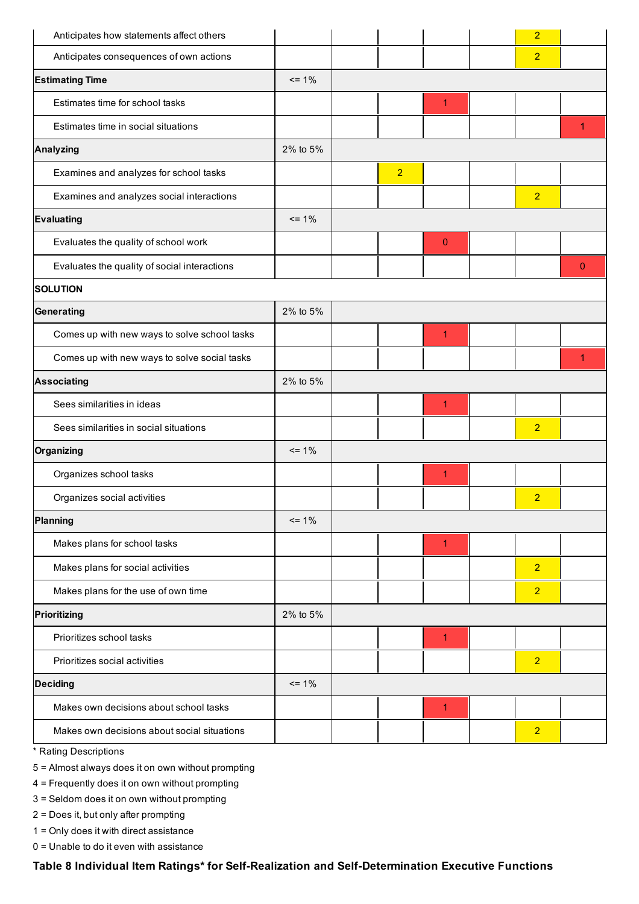| Anticipates how statements affect others     |          |                |             | $\overline{2}$ |              |
|----------------------------------------------|----------|----------------|-------------|----------------|--------------|
| Anticipates consequences of own actions      |          |                |             | $\overline{2}$ |              |
| <b>Estimating Time</b>                       | $= 1\%$  |                |             |                |              |
| Estimates time for school tasks              |          |                | 1           |                |              |
| Estimates time in social situations          |          |                |             |                | 1            |
| <b>Analyzing</b>                             | 2% to 5% |                |             |                |              |
| Examines and analyzes for school tasks       |          | $\overline{2}$ |             |                |              |
| Examines and analyzes social interactions    |          |                |             | $\overline{2}$ |              |
| <b>Evaluating</b>                            | $= 1\%$  |                |             |                |              |
| Evaluates the quality of school work         |          |                | $\mathbf 0$ |                |              |
| Evaluates the quality of social interactions |          |                |             |                | $\mathbf{0}$ |
| <b>SOLUTION</b>                              |          |                |             |                |              |
| Generating                                   | 2% to 5% |                |             |                |              |
| Comes up with new ways to solve school tasks |          |                | 1           |                |              |
| Comes up with new ways to solve social tasks |          |                |             |                | 1            |
| <b>Associating</b>                           | 2% to 5% |                |             |                |              |
| Sees similarities in ideas                   |          |                | 1           |                |              |
| Sees similarities in social situations       |          |                |             | $\overline{2}$ |              |
| Organizing                                   | $= 1\%$  |                |             |                |              |
| Organizes school tasks                       |          |                | 1           |                |              |
| Organizes social activities                  |          |                |             | $\overline{2}$ |              |
| Planning                                     | $= 1\%$  |                |             |                |              |
| Makes plans for school tasks                 |          |                | 1           |                |              |
| Makes plans for social activities            |          |                |             | $\overline{2}$ |              |
| Makes plans for the use of own time          |          |                |             | $\overline{2}$ |              |
| Prioritizing                                 | 2% to 5% |                |             |                |              |
| Prioritizes school tasks                     |          |                | 1           |                |              |
| Prioritizes social activities                |          |                |             | $\overline{2}$ |              |
| <b>Deciding</b>                              | $= 1\%$  |                |             |                |              |
| Makes own decisions about school tasks       |          |                | 1           |                |              |
| Makes own decisions about social situations  |          |                |             | $\overline{2}$ |              |
|                                              |          |                |             |                |              |

\* Rating Descriptions

5 = Almost always does it on own without prompting

4 = Frequently does it on own without prompting

3 = Seldom does it on own without prompting

2 = Does it, but only after prompting

1 = Only does it with direct assistance

0 = Unable to do it even with assistance

Table 8 Individual Item Ratings\* for Self-Realization and Self-Determination Executive Functions